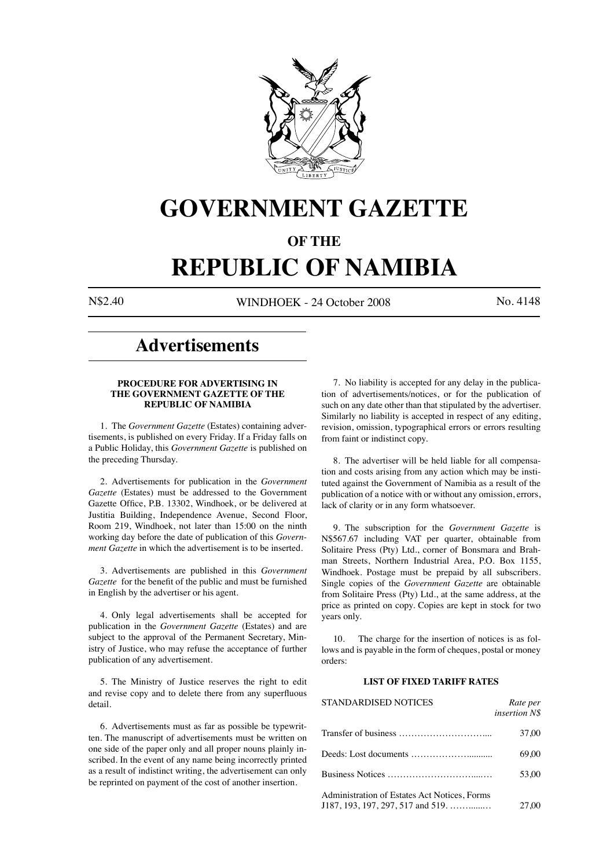

# **GOVERNMENT GAZETTE**

### **OF THE**

# **REPUBLIC OF NAMIBIA**

N\$2.40 WINDHOEK - 24 October 2008 No. 4148

## **Advertisements**

#### **PROCEDURE FOR ADVERTISING IN THE GOVERNMENT GAZETTE OF THE REPUBLIC OF NAMIBIA**

1. The *Government Gazette* (Estates) containing advertisements, is published on every Friday. If a Friday falls on a Public Holiday, this *Government Gazette* is published on the preceding Thursday.

2. Advertisements for publication in the *Government Gazette* (Estates) must be addressed to the Government Gazette Office, P.B. 13302, Windhoek, or be delivered at Justitia Building, Independence Avenue, Second Floor, Room 219, Windhoek, not later than 15:00 on the ninth working day before the date of publication of this *Government Gazette* in which the advertisement is to be inserted.

3. Advertisements are published in this *Government Gazette* for the benefit of the public and must be furnished in English by the advertiser or his agent.

4. Only legal advertisements shall be accepted for publication in the *Government Gazette* (Estates) and are subject to the approval of the Permanent Secretary, Ministry of Justice, who may refuse the acceptance of further publication of any advertisement.

5. The Ministry of Justice reserves the right to edit and revise copy and to delete there from any superfluous detail.

6. Advertisements must as far as possible be typewritten. The manuscript of advertisements must be written on one side of the paper only and all proper nouns plainly inscribed. In the event of any name being incorrectly printed as a result of indistinct writing, the advertisement can only be reprinted on payment of the cost of another insertion.

7. No liability is accepted for any delay in the publication of advertisements/notices, or for the publication of such on any date other than that stipulated by the advertiser. Similarly no liability is accepted in respect of any editing, revision, omission, typographical errors or errors resulting from faint or indistinct copy.

8. The advertiser will be held liable for all compensation and costs arising from any action which may be instituted against the Government of Namibia as a result of the publication of a notice with or without any omission, errors, lack of clarity or in any form whatsoever.

9. The subscription for the *Government Gazette* is N\$567.67 including VAT per quarter, obtainable from Solitaire Press (Pty) Ltd., corner of Bonsmara and Brahman Streets, Northern Industrial Area, P.O. Box 1155, Windhoek. Postage must be prepaid by all subscribers. Single copies of the *Government Gazette* are obtainable from Solitaire Press (Pty) Ltd., at the same address, at the price as printed on copy. Copies are kept in stock for two years only.

10. The charge for the insertion of notices is as follows and is payable in the form of cheques, postal or money orders:

#### **LIST OF FIXED TARIFF RATES**

| <b>STANDARDISED NOTICES</b>                                                           | Rate per<br>insertion N\$ |
|---------------------------------------------------------------------------------------|---------------------------|
|                                                                                       | 37.00                     |
|                                                                                       | 69.00                     |
|                                                                                       | 53.00                     |
| Administration of Estates Act Notices, Forms<br>$J187, 193, 197, 297, 517$ and $519,$ | 27.00                     |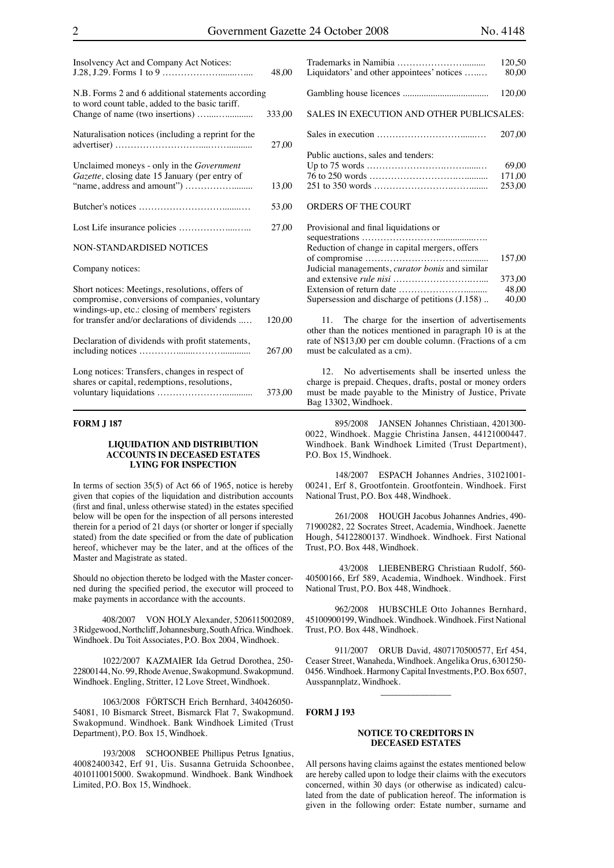| Insolvency Act and Company Act Notices:                                                                                                                                                                 | 48,00  |
|---------------------------------------------------------------------------------------------------------------------------------------------------------------------------------------------------------|--------|
| N.B. Forms 2 and 6 additional statements according<br>to word count table, added to the basic tariff.                                                                                                   | 333,00 |
| Naturalisation notices (including a reprint for the                                                                                                                                                     | 27,00  |
| Unclaimed moneys - only in the <i>Government</i><br>Gazette, closing date 15 January (per entry of                                                                                                      | 13,00  |
|                                                                                                                                                                                                         | 53,00  |
|                                                                                                                                                                                                         | 27,00  |
| <b>NON-STANDARDISED NOTICES</b>                                                                                                                                                                         |        |
| Company notices:                                                                                                                                                                                        |        |
| Short notices: Meetings, resolutions, offers of<br>compromise, conversions of companies, voluntary<br>windings-up, etc.: closing of members' registers<br>for transfer and/or declarations of dividends | 120,00 |
| Declaration of dividends with profit statements,                                                                                                                                                        |        |
|                                                                                                                                                                                                         | 267,00 |
| Long notices: Transfers, changes in respect of<br>chares or capital redemptions resolutions                                                                                                             |        |

| shares or capital, redemptions, resolutions, |        |
|----------------------------------------------|--------|
|                                              | 373,00 |
|                                              |        |

#### **FORM J 187**

#### **LIQUIDATION AND DISTRIBUTION ACCOUNTS IN DECEASED ESTATES LYING FOR INSPECTION**

In terms of section  $35(5)$  of Act 66 of 1965, notice is hereby given that copies of the liquidation and distribution accounts (first and final, unless otherwise stated) in the estates specified below will be open for the inspection of all persons interested therein for a period of 21 days (or shorter or longer if specially stated) from the date specified or from the date of publication hereof, whichever may be the later, and at the offices of the Master and Magistrate as stated.

Should no objection thereto be lodged with the Master concerned during the specified period, the executor will proceed to make payments in accordance with the accounts.

408/2007 VON HOLY Alexander, 5206115002089, 3 Ridgewood, Northcliff, Johannesburg, South Africa. Windhoek. Windhoek. Du Toit Associates, P.O. Box 2004, Windhoek.

1022/2007 KAZMAIER Ida Getrud Dorothea, 250- 22800144, No. 99, Rhode Avenue, Swakopmund. Swakopmund. Windhoek. Engling, Stritter, 12 Love Street, Windhoek.

1063/2008 FÖRTSCH Erich Bernhard, 340426050- 54081, 10 Bismarck Street, Bismarck Flat 7, Swakopmund. Swakopmund. Windhoek. Bank Windhoek Limited (Trust Department), P.O. Box 15, Windhoek.

193/2008 SCHOONBEE Phillipus Petrus Ignatius, 40082400342, Erf 91, Uis. Susanna Getruida Schoonbee, 4010110015000. Swakopmund. Windhoek. Bank Windhoek Limited, P.O. Box 15, Windhoek.

|                                                  | 120,50 |
|--------------------------------------------------|--------|
| Liquidators' and other appointees' notices       | 80.00  |
|                                                  | 120.00 |
|                                                  |        |
| <b>SALES IN EXECUTION AND OTHER PUBLICSALES:</b> |        |
|                                                  |        |
|                                                  | 207.00 |
|                                                  |        |
| Public auctions, sales and tenders:              |        |
|                                                  | 69.00  |
|                                                  | 171.00 |
|                                                  | 253.00 |
|                                                  |        |
| <b>ORDERS OF THE COURT</b>                       |        |
|                                                  |        |

| Provisional and final liquidations or                  |        |
|--------------------------------------------------------|--------|
|                                                        |        |
| Reduction of change in capital mergers, offers         |        |
|                                                        | 157.00 |
| Judicial managements, <i>curator bonis</i> and similar |        |
|                                                        | 373.00 |
|                                                        | 48.00  |
| Supersession and discharge of petitions (J.158)        | 40,00  |

11. The charge for the insertion of advertisements other than the notices mentioned in paragraph 10 is at the rate of N\$13,00 per cm double column. (Fractions of a cm must be calculated as a cm).

12. No advertisements shall be inserted unless the charge is prepaid. Cheques, drafts, postal or money orders must be made payable to the Ministry of Justice, Private Bag 13302, Windhoek.

895/2008 JANSEN Johannes Christiaan, 4201300- 0022, Windhoek. Maggie Christina Jansen, 44121000447. Windhoek. Bank Windhoek Limited (Trust Department), P.O. Box 15, Windhoek.

148/2007 ESPACH Johannes Andries, 31021001- 00241, Erf 8, Grootfontein. Grootfontein. Windhoek. First National Trust, P.O. Box 448, Windhoek.

261/2008 HOUGH Jacobus Johannes Andries, 490- 71900282, 22 Socrates Street, Academia, Windhoek. Jaenette Hough, 54122800137. Windhoek. Windhoek. First National Trust, P.O. Box 448, Windhoek.

 43/2008 LIEBENBERG Christiaan Rudolf, 560- 40500166, Erf 589, Academia, Windhoek. Windhoek. First National Trust, P.O. Box 448, Windhoek.

962/2008 HUBSCHLE Otto Johannes Bernhard, 45100900199, Windhoek. Windhoek. Windhoek. First National Trust, P.O. Box 448, Windhoek.

911/2007 ORUB David, 4807170500577, Erf 454, Ceaser Street, Wanaheda, Windhoek. Angelika Orus, 6301250- 0456. Windhoek. Harmony Capital Investments, P.O. Box 6507, Ausspannplatz, Windhoek.

\_\_\_\_\_\_\_\_\_\_\_\_\_\_\_\_

#### **FORM J 193**

#### **NOTICE TO CREDITORS IN DECEASED ESTATES**

All persons having claims against the estates mentioned below are hereby called upon to lodge their claims with the executors concerned, within 30 days (or otherwise as indicated) calculated from the date of publication hereof. The information is given in the following order: Estate number, surname and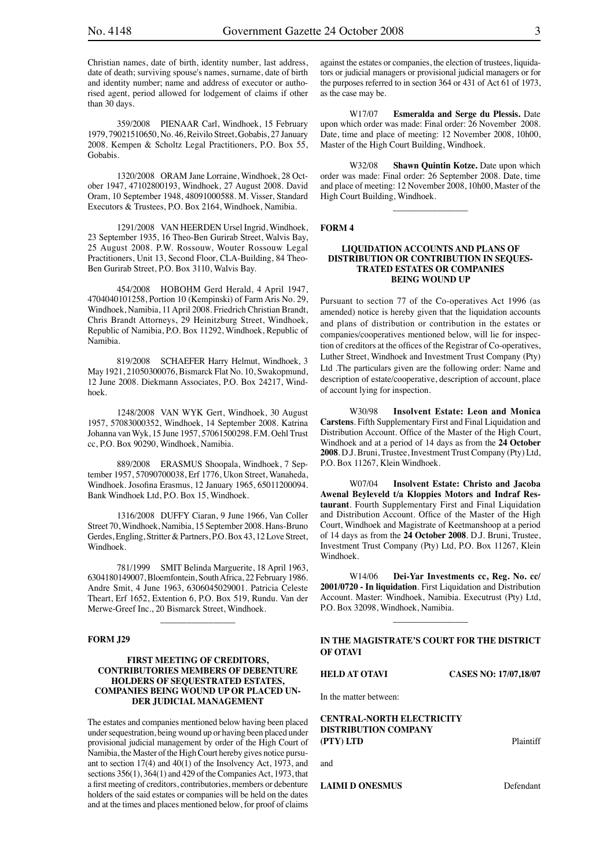Christian names, date of birth, identity number, last address, date of death; surviving spouse's names, surname, date of birth and identity number; name and address of executor or authorised agent, period allowed for lodgement of claims if other than 30 days.

359/2008 PIENAAR Carl, Windhoek, 15 February 1979, 79021510650, No. 46, Reivilo Street, Gobabis, 27 January 2008. Kempen & Scholtz Legal Practitioners, P.O. Box 55, Gobabis.

1320/2008 ORAM Jane Lorraine, Windhoek, 28 October 1947, 47102800193, Windhoek, 27 August 2008. David Oram, 10 September 1948, 48091000588. M. Visser, Standard Executors & Trustees, P.O. Box 2164, Windhoek, Namibia.

1291/2008 VAN HEERDEN Ursel Ingrid, Windhoek, 23 September 1935, 16 Theo-Ben Gurirab Street, Walvis Bay, 25 August 2008. P.W. Rossouw, Wouter Rossouw Legal Practitioners, Unit 13, Second Floor, CLA-Building, 84 Theo-Ben Gurirab Street, P.O. Box 3110, Walvis Bay.

454/2008 HOBOHM Gerd Herald, 4 April 1947, 4704040101258, Portion 10 (Kempinski) of Farm Aris No. 29, Windhoek, Namibia, 11 April 2008. Friedrich Christian Brandt, Chris Brandt Attorneys, 29 Heinitzburg Street, Windhoek, Republic of Namibia, P.O. Box 11292, Windhoek, Republic of Namibia.

819/2008 SCHAEFER Harry Helmut, Windhoek, 3 May 1921, 21050300076, Bismarck Flat No. 10, Swakopmund, 12 June 2008. Diekmann Associates, P.O. Box 24217, Windhoek.

1248/2008 VAN WYK Gert, Windhoek, 30 August 1957, 57083000352, Windhoek, 14 September 2008. Katrina Johanna van Wyk, 15 June 1957, 57061500298. F.M. Oehl Trust cc, P.O. Box 90290, Windhoek, Namibia.

889/2008 ERASMUS Shoopala, Windhoek, 7 September 1957, 57090700038, Erf 1776, Ukon Street, Wanaheda, Windhoek. Josofina Erasmus, 12 January 1965, 65011200094. Bank Windhoek Ltd, P.O. Box 15, Windhoek.

1316/2008 DUFFY Ciaran, 9 June 1966, Van Coller Street 70, Windhoek, Namibia, 15 September 2008. Hans-Bruno Gerdes, Engling, Stritter & Partners, P.O. Box 43, 12 Love Street, Windhoek.

781/1999 SMIT Belinda Marguerite, 18 April 1963, 6304180149007, Bloemfontein, South Africa, 22 February 1986. Andre Smit, 4 June 1963, 6306045029001. Patricia Celeste Theart, Erf 1652, Extention 6, P.O. Box 519, Rundu. Van der Merwe-Greef Inc., 20 Bismarck Street, Windhoek.

\_\_\_\_\_\_\_\_\_\_\_\_\_\_\_\_\_

#### **FORM J29**

#### **FIRST MEETING OF CREDITORS, CONTRIBUTORIES MEMBERS OF DEBENTURE HOLDERS OF SEQUESTRATED ESTATES, COMPANIES BEING WOUND UP OR PLACED UN-DER JUDICIAL MANAGEMENT**

The estates and companies mentioned below having been placed under sequestration, being wound up or having been placed under provisional judicial management by order of the High Court of Namibia, the Master of the High Court hereby gives notice pursuant to section  $17(4)$  and  $40(1)$  of the Insolvency Act, 1973, and sections 356(1), 364(1) and 429 of the Companies Act, 1973, that a first meeting of creditors, contributories, members or debenture holders of the said estates or companies will be held on the dates and at the times and places mentioned below, for proof of claims

against the estates or companies, the election of trustees, liquidators or judicial managers or provisional judicial managers or for the purposes referred to in section 364 or 431 of Act 61 of 1973, as the case may be.

W17/07 **Esmeralda and Serge du Plessis.** Date upon which order was made: Final order: 26 November 2008. Date, time and place of meeting: 12 November 2008, 10h00, Master of the High Court Building, Windhoek.

W32/08 **Shawn Quintin Kotze.** Date upon which order was made: Final order: 26 September 2008. Date, time and place of meeting: 12 November 2008, 10h00, Master of the High Court Building, Windhoek.

\_\_\_\_\_\_\_\_\_\_\_\_\_\_\_\_\_

#### **FORM 4**

#### **LIQUIDATION ACCOUNTS AND PLANS OF DISTRIBUTION OR CONTRIBUTION IN SEQUES-TRATED ESTATES OR COMPANIES BEING WOUND UP**

Pursuant to section 77 of the Co-operatives Act 1996 (as amended) notice is hereby given that the liquidation accounts and plans of distribution or contribution in the estates or companies/cooperatives mentioned below, will lie for inspection of creditors at the offices of the Registrar of Co-operatives, Luther Street, Windhoek and Investment Trust Company (Pty) Ltd .The particulars given are the following order: Name and description of estate/cooperative, description of account, place of account lying for inspection.

W30/98 **Insolvent Estate: Leon and Monica Carstens**. Fifth Supplementary First and Final Liquidation and Distribution Account. Office of the Master of the High Court, Windhoek and at a period of 14 days as from the **24 October 2008**. D.J. Bruni, Trustee, Investment Trust Company (Pty) Ltd, P.O. Box 11267, Klein Windhoek.

W07/04 **Insolvent Estate: Christo and Jacoba Awenal Beyleveld t/a Kloppies Motors and Indraf Restaurant**. Fourth Supplementary First and Final Liquidation and Distribution Account. Office of the Master of the High Court, Windhoek and Magistrate of Keetmanshoop at a period of 14 days as from the **24 October 2008**. D.J. Bruni, Trustee, Investment Trust Company (Pty) Ltd, P.O. Box 11267, Klein Windhoek.

W14/06 **Dei-Yar Investments cc, Reg. No. cc/ 2001/0720 - In liquidation**. First Liquidation and Distribution Account. Master: Windhoek, Namibia. Executrust (Pty) Ltd, P.O. Box 32098, Windhoek, Namibia.

 $\overline{\phantom{a}}$  , where the contract of the contract of the contract of the contract of the contract of the contract of the contract of the contract of the contract of the contract of the contract of the contract of the contr

#### **IN THE MAGISTRATE'S COURT FOR THE DISTRICT OF OTAVI**

**HELD AT OTAVI CASES NO: 17/07,18/07**

In the matter between:

**CENTRAL-NORTH ELECTRICITY DISTRIBUTION COMPANY (PTY) LTD** Plaintiff

and

**LAIMI D ONESMUS** Defendant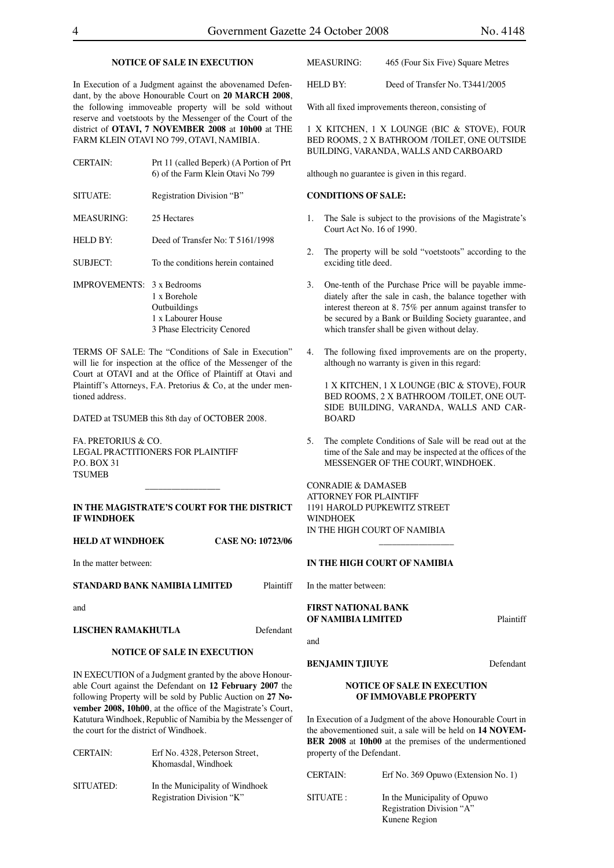#### **NOTICE OF SALE IN EXECUTION**

In Execution of a Judgment against the abovenamed Defendant, by the above Honourable Court on **20 MARCH 2008**, the following immoveable property will be sold without reserve and voetstoots by the Messenger of the Court of the district of **OTAVI, 7 NOVEMBER 2008** at **10h00** at THE FARM KLEIN OTAVI NO 799, OTAVI, NAMIBIA.

| <b>CERTAIN:</b>                   | Prt 11 (called Beperk) (A Portion of Prt<br>6) of the Farm Klein Otavi No 799     |
|-----------------------------------|-----------------------------------------------------------------------------------|
| SITUATE:                          | Registration Division "B"                                                         |
| MEASURING:                        | 25 Hectares                                                                       |
| HEID BY:                          | Deed of Transfer No: T 5161/1998                                                  |
| <b>SUBJECT:</b>                   | To the conditions herein contained                                                |
| <b>IMPROVEMENTS:</b> 3 x Bedrooms | 1 x Borehole<br>Outbuildings<br>1 x Labourer House<br>3 Phase Electricity Cenored |

TERMS OF SALE: The "Conditions of Sale in Execution" will lie for inspection at the office of the Messenger of the Court at OTAVI and at the Office of Plaintiff at Otavi and Plaintiff's Attorneys, F.A. Pretorius & Co, at the under mentioned address.

DATED at TSUMEB this 8th day of OCTOBER 2008.

FA. PRETORIUS & CO. LEGAL PRACTITIONERS FOR PLAINTIFF P.O. BOX 31 **TSUMEB** 

#### **IN THE MAGISTRATE'S COURT FOR THE DISTRICT IF WINDHOEK**

 $\overline{\phantom{a}}$  , which is a set of the set of the set of the set of the set of the set of the set of the set of the set of the set of the set of the set of the set of the set of the set of the set of the set of the set of th

**HELD AT WINDHOEK CASE NO: 10723/06**

In the matter between:

**STANDARD BANK NAMIBIA LIMITED** Plaintiff

and

#### **LISCHEN RAMAKHUTLA** Defendant

#### **NOTICE OF SALE IN EXECUTION**

IN EXECUTION of a Judgment granted by the above Honourable Court against the Defendant on **12 February 2007** the following Property will be sold by Public Auction on **27 November 2008, 10h00**, at the office of the Magistrate's Court, Katutura Windhoek, Republic of Namibia by the Messenger of the court for the district of Windhoek.

| <b>CERTAIN:</b> | Erf No. 4328, Peterson Street.<br>Khomasdal, Windhoek        |
|-----------------|--------------------------------------------------------------|
| SITUATED:       | In the Municipality of Windhoek<br>Registration Division "K" |

| MEASURING: | 465 (Four Six Five) Square Metres |
|------------|-----------------------------------|
|------------|-----------------------------------|

HELD BY: Deed of Transfer No. T3441/2005

With all fixed improvements thereon, consisting of

1 X KITCHEN, 1 X LOUNGE (BIC & STOVE), FOUR BED ROOMS, 2 X BATHROOM /TOILET, ONE OUTSIDE BUILDING, VARANDA, WALLS AND CARBOARD

although no guarantee is given in this regard.

#### **CONDITIONS OF SALE:**

- 1. The Sale is subject to the provisions of the Magistrate's Court Act No. 16 of 1990.
- 2. The property will be sold "voetstoots" according to the exciding title deed.
- 3. One-tenth of the Purchase Price will be payable immediately after the sale in cash, the balance together with interest thereon at 8. 75% per annum against transfer to be secured by a Bank or Building Society guarantee, and which transfer shall be given without delay.
- 4. The following fixed improvements are on the property, although no warranty is given in this regard:

1 X KITCHEN, 1 X LOUNGE (BIC & STOVE), FOUR BED ROOMS, 2 X BATHROOM /TOILET, ONE OUT-SIDE BUILDING, VARANDA, WALLS AND CAR-BOARD

5. The complete Conditions of Sale will be read out at the time of the Sale and may be inspected at the offices of the MESSENGER OF THE COURT, WINDHOEK.

 $\overline{\phantom{a}}$  , where  $\overline{\phantom{a}}$ 

CONRADIE & DAMASEB ATTORNEY FOR PLAINTIFF 1191 HAROLD PUPKEWITZ STREET **WINDHOEK** IN THE HIGH COURT OF NAMIBIA

#### **IN THE HIGH COURT OF NAMIBIA**

In the matter between:

#### **FIRST NATIONAL BANK OF NAMIBIA LIMITED** Plaintiff

and

#### **BENJAMIN TJIUYE** Defendant

#### **NOTICE OF SALE IN EXECUTION OF IMMOVABLE PROPERTY**

In Execution of a Judgment of the above Honourable Court in the abovementioned suit, a sale will be held on **14 NOVEM-BER 2008** at **10h00** at the premises of the undermentioned property of the Defendant.

| CERTAIN:  | Erf No. 369 Opuwo (Extension No. 1)                                        |
|-----------|----------------------------------------------------------------------------|
| SITUATE : | In the Municipality of Opuwo<br>Registration Division "A"<br>Kunene Region |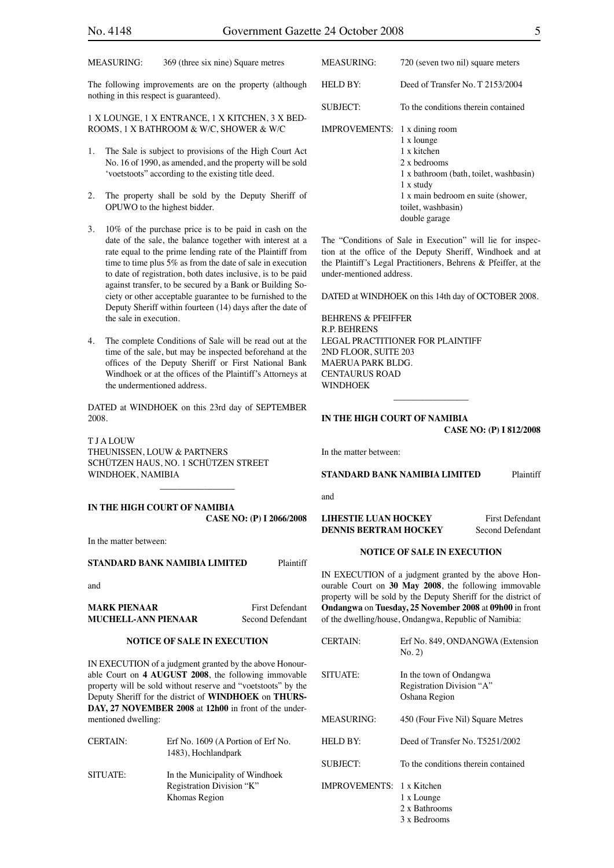The following improvements are on the property (although nothing in this respect is guaranteed).

#### 1 X LOUNGE, 1 X ENTRANCE, 1 X KITCHEN, 3 X BED-ROOMS, 1 X BATHROOM & W/C, SHOWER & W/C

- 1. The Sale is subject to provisions of the High Court Act No. 16 of 1990, as amended, and the property will be sold 'voetstoots" according to the existing title deed.
- 2. The property shall be sold by the Deputy Sheriff of OPUWO to the highest bidder.
- 3. 10% of the purchase price is to be paid in cash on the date of the sale, the balance together with interest at a rate equal to the prime lending rate of the Plaintiff from time to time plus 5% as from the date of sale in execution to date of registration, both dates inclusive, is to be paid against transfer, to be secured by a Bank or Building Society or other acceptable guarantee to be furnished to the Deputy Sheriff within fourteen (14) days after the date of the sale in execution.
- 4. The complete Conditions of Sale will be read out at the time of the sale, but may be inspected beforehand at the offices of the Deputy Sheriff or First National Bank Windhoek or at the offices of the Plaintiff's Attorneys at the undermentioned address.

DATED at WINDHOEK on this 23rd day of SEPTEMBER 2008.

T J A LOUW THEUNISSEN, LOUW & PARTNERS SCHÜTZEN HAUS, NO. 1 SCHÜTZEN STREET WINDHOEK, NAMIBIA

**IN THE HIGH COURT OF NAMIBIA CASE NO: (P) I 2066/2008**

 $\overline{\phantom{a}}$  , which is a set of the set of the set of the set of the set of the set of the set of the set of the set of the set of the set of the set of the set of the set of the set of the set of the set of the set of th

In the matter between:

**STANDARD BANK NAMIBIA LIMITED** Plaintiff

and

**MARK PIENAAR** First Defendant **MUCHELL-ANN PIENAAR** Second Defendant

#### **NOTICE OF SALE IN EXECUTION**

IN EXECUTION of a judgment granted by the above Honourable Court on **4 AUGUST 2008**, the following immovable property will be sold without reserve and "voetstoots" by the Deputy Sheriff for the district of **WINDHOEK** on **THURS-DAY, 27 NOVEMBER 2008** at **12h00** in front of the undermentioned dwelling:

| <b>CERTAIN:</b> | Erf No. 1609 (A Portion of Erf No.<br>1483), Hochlandpark                     |
|-----------------|-------------------------------------------------------------------------------|
| SITUATE:        | In the Municipality of Windhoek<br>Registration Division "K"<br>Khomas Region |

| MEASURING:                           | 720 (seven two nil) square meters                                                                                                                                             |
|--------------------------------------|-------------------------------------------------------------------------------------------------------------------------------------------------------------------------------|
| HELD BY:                             | Deed of Transfer No. T 2153/2004                                                                                                                                              |
| <b>SUBJECT:</b>                      | To the conditions therein contained                                                                                                                                           |
| <b>IMPROVEMENTS:</b> 1 x dining room | 1 x lounge<br>1 x kitchen<br>2 x bedrooms<br>1 x bathroom (bath, toilet, washbasin)<br>1 x study<br>1 x main bedroom en suite (shower,<br>toilet, washbasin)<br>double garage |
|                                      |                                                                                                                                                                               |

The "Conditions of Sale in Execution" will lie for inspection at the office of the Deputy Sheriff, Windhoek and at the Plaintiff's Legal Practitioners, Behrens & Pfeiffer, at the under-mentioned address.

DATED at WINDHOEK on this 14th day of OCTOBER 2008.

BEHRENS & PFEIFFER R.P. BEHRENS LEGAL PRACTITIONER FOR PLAINTIFF 2ND FLOOR, SUITE 203 MAERUA PARK BLDG. CENTAURUS ROAD WINDHOEK

#### **IN THE HIGH COURT OF NAMIBIA CASE NO: (P) I 812/2008**

 $\overline{\phantom{a}}$  , which is a set of the set of the set of the set of the set of the set of the set of the set of the set of the set of the set of the set of the set of the set of the set of the set of the set of the set of th

In the matter between:

#### **STANDARD BANK NAMIBIA LIMITED** Plaintiff

and

#### **LIHESTIE LUAN HOCKEY** First Defendant **DENNIS BERTRAM HOCKEY** Second Defendant

#### **NOTICE OF SALE IN EXECUTION**

IN EXECUTION of a judgment granted by the above Honourable Court on **30 May 2008**, the following immovable property will be sold by the Deputy Sheriff for the district of **Ondangwa** on **Tuesday, 25 November 2008** at **09h00** in front of the dwelling/house, Ondangwa, Republic of Namibia:

| <b>CERTAIN:</b>                  | Erf No. 849, ONDANGWA (Extension<br>No. 2)                            |
|----------------------------------|-----------------------------------------------------------------------|
| SITUATE:                         | In the town of Ondangwa<br>Registration Division "A"<br>Oshana Region |
| <b>MEASURING:</b>                | 450 (Four Five Nil) Square Metres                                     |
| HELD BY:                         | Deed of Transfer No. T5251/2002                                       |
| <b>SUBJECT:</b>                  | To the conditions therein contained                                   |
| <b>IMPROVEMENTS: 1 x Kitchen</b> | 1 x Lounge<br>2 x Bathrooms<br>3 x Bedrooms                           |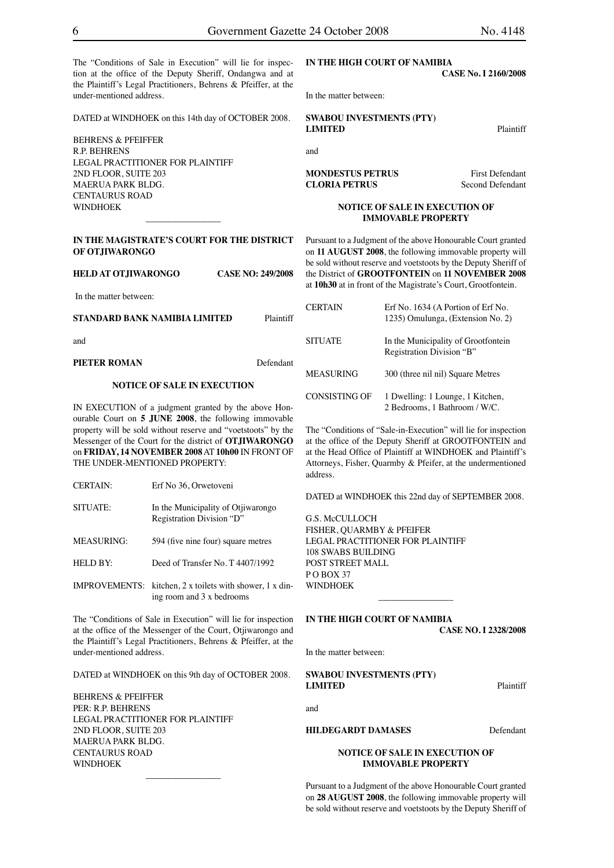The "Conditions of Sale in Execution" will lie for inspection at the office of the Deputy Sheriff, Ondangwa and at the Plaintiff's Legal Practitioners, Behrens & Pfeiffer, at the under-mentioned address.

DATED at WINDHOEK on this 14th day of OCTOBER 2008.

BEHRENS & PFEIFFER R.P. BEHRENS LEGAL PRACTITIONER FOR PLAINTIFF 2ND FLOOR, SUITE 203 MAERUA PARK BLDG. CENTAURUS ROAD WINDHOEK

#### **IN THE MAGISTRATE'S COURT FOR THE DISTRICT OF OTJIWARONGO**

 $\overline{\phantom{a}}$  , which is a set of the set of the set of the set of the set of the set of the set of the set of the set of the set of the set of the set of the set of the set of the set of the set of the set of the set of th

**HELD AT OTJIWARONGO CASE NO: 249/2008**

In the matter between:

#### **STANDARD BANK NAMIBIA LIMITED** Plaintiff

and

**PIETER ROMAN** Defendant

#### **NOTICE OF SALE IN EXECUTION**

IN EXECUTION of a judgment granted by the above Honourable Court on **5 JUNE 2008**, the following immovable property will be sold without reserve and "voetstoots" by the Messenger of the Court for the district of **OTJIWARONGO** on **FRIDAY, 14 NOVEMBER 2008** AT **10h00** IN FRONT OF THE UNDER-MENTIONED PROPERTY:

| In the Municipality of Otjiwarongo<br>Registration Division "D" |
|-----------------------------------------------------------------|
| 594 (five nine four) square metres                              |
| Deed of Transfer No. T 4407/1992                                |
|                                                                 |

IMPROVEMENTS: kitchen, 2 x toilets with shower, 1 x dining room and 3 x bedrooms

The "Conditions of Sale in Execution" will lie for inspection at the office of the Messenger of the Court, Otjiwarongo and the Plaintiff's Legal Practitioners, Behrens & Pfeiffer, at the under-mentioned address.

DATED at WINDHOEK on this 9th day of OCTOBER 2008.

 $\overline{\phantom{a}}$  , where  $\overline{\phantom{a}}$ 

BEHRENS & PFEIFFER PER: R.P. BEHRENS LEGAL PRACTITIONER FOR PLAINTIFF 2ND FLOOR, SUITE 203 MAERUA PARK BLDG. CENTAURUS ROAD WINDHOEK

### **IN THE HIGH COURT OF NAMIBIA**

**CASE No. I 2160/2008**

In the matter between:

**SWABOU INVESTMENTS (PTY) LIMITED** Plaintiff

and

**MONDESTUS PETRUS** First Defendant **CLORIA PETRUS** Second Defendant

#### **NOTICE OF SALE IN EXECUTION OF IMMOVABLE PROPERTY**

Pursuant to a Judgment of the above Honourable Court granted on **11 AUGUST 2008**, the following immovable property will be sold without reserve and voetstoots by the Deputy Sheriff of the District of **GROOTFONTEIN** on **11 NOVEMBER 2008**  at **10h30** at in front of the Magistrate's Court, Grootfontein.

| <b>CERTAIN</b>   | Erf No. 1634 (A Portion of Erf No.<br>1235) Omulunga, (Extension No. 2) |
|------------------|-------------------------------------------------------------------------|
| <b>SITUATE</b>   | In the Municipality of Grootfontein<br>Registration Division "B"        |
| <b>MEASURING</b> | 300 (three nil nil) Square Metres                                       |
| CONSISTING OF    | 1 Dwelling: 1 Lounge, 1 Kitchen,<br>2 Bedrooms, 1 Bathroom / W/C.       |

The "Conditions of "Sale-in-Execution" will lie for inspection at the office of the Deputy Sheriff at GROOTFONTEIN and at the Head Office of Plaintiff at WINDHOEK and Plaintiff's Attorneys, Fisher, Quarmby & Pfeifer, at the undermentioned address.

DATED at WINDHOEK this 22nd day of SEPTEMBER 2008.

G.S. McCULLOCH FISHER, QUARMBY & PFEIFER LEGAL PRACTITIONER FOR PLAINTIFF 108 SWABS BUILDING POST STREET MALL  $P$  O ROY 37 **WINDHOFK** 

#### **IN THE HIGH COURT OF NAMIBIA CASE NO. I 2328/2008**

 $\overline{\phantom{a}}$  , where  $\overline{\phantom{a}}$ 

In the matter between:

#### **SWABOU INVESTMENTS (PTY) LIMITED** Plaintiff

and

### **HILDEGARDT DAMASES** Defendant

#### **NOTICE OF SALE IN EXECUTION OF IMMOVABLE PROPERTY**

Pursuant to a Judgment of the above Honourable Court granted on **28 AUGUST 2008**, the following immovable property will be sold without reserve and voetstoots by the Deputy Sheriff of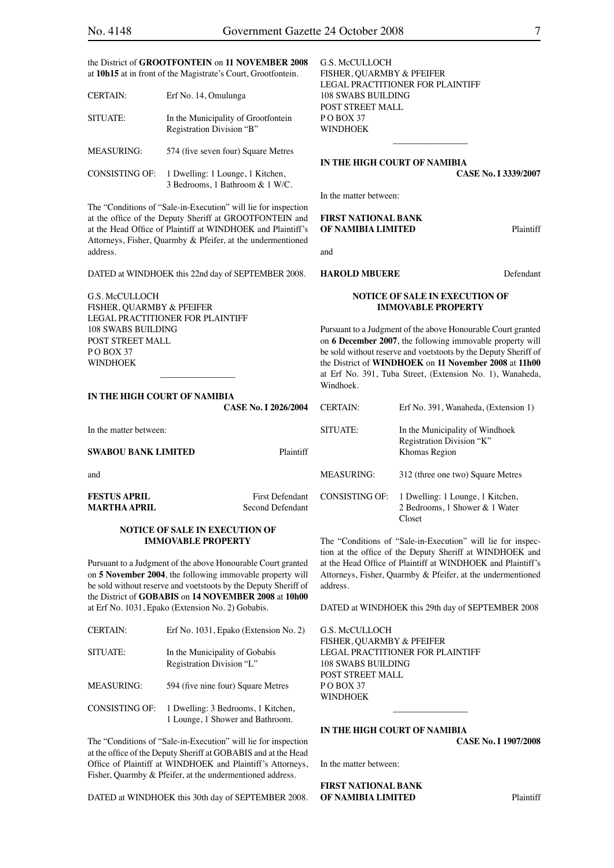the District of **GROOTFONTEIN** on **11 NOVEMBER 2008**  at **10h15** at in front of the Magistrate's Court, Grootfontein.

| <b>CERTAIN:</b>       | Erf No. 14, Omulunga                                                |
|-----------------------|---------------------------------------------------------------------|
| SITUATE:              | In the Municipality of Grootfontein<br>Registration Division "B"    |
| <b>MEASURING:</b>     | 574 (five seven four) Square Metres                                 |
| <b>CONSISTING OF:</b> | 1 Dwelling: 1 Lounge, 1 Kitchen,<br>3 Bedrooms, 1 Bathroom & 1 W/C. |

The "Conditions of "Sale-in-Execution" will lie for inspection at the office of the Deputy Sheriff at GROOTFONTEIN and at the Head Office of Plaintiff at WINDHOEK and Plaintiff's Attorneys, Fisher, Quarmby & Pfeifer, at the undermentioned address.

DATED at WINDHOEK this 22nd day of SEPTEMBER 2008.

G.S. McCULLOCH FISHER, QUARMBY & PFEIFER LEGAL PRACTITIONER FOR PLAINTIFF 108 SWABS BUILDING POST STREET MALL PO BOX 37 WINDHOEK

#### **IN THE HIGH COURT OF NAMIBIA**

| In the matter between:                     |                                            |
|--------------------------------------------|--------------------------------------------|
| <b>SWABOU BANK LIMITED</b>                 | Plaintiff                                  |
| and                                        |                                            |
| <b>FESTUS APRIL</b><br><b>MARTHA APRIL</b> | <b>First Defendant</b><br>Second Defendant |

\_\_\_\_\_\_\_\_\_\_\_\_\_\_\_\_\_

#### **NOTICE OF SALE IN EXECUTION OF IMMOVABLE PROPERTY**

Pursuant to a Judgment of the above Honourable Court granted on **5 November 2004**, the following immovable property will be sold without reserve and voetstoots by the Deputy Sheriff of the District of **GOBABIS** on **14 NOVEMBER 2008** at **10h00** at Erf No. 1031, Epako (Extension No. 2) Gobabis.

| <b>CERTAIN:</b>       | Erf No. 1031, Epako (Extension No. 2)                                  |
|-----------------------|------------------------------------------------------------------------|
| SITUATE:              | In the Municipality of Gobabis<br>Registration Division "L"            |
| <b>MEASURING:</b>     | 594 (five nine four) Square Metres                                     |
| <b>CONSISTING OF:</b> | 1 Dwelling: 3 Bedrooms, 1 Kitchen,<br>1 Lounge, 1 Shower and Bathroom. |

The "Conditions of "Sale-in-Execution" will lie for inspection at the office of the Deputy Sheriff at GOBABIS and at the Head Office of Plaintiff at WINDHOEK and Plaintiff's Attorneys, Fisher, Quarmby & Pfeifer, at the undermentioned address.

DATED at WINDHOEK this 30th day of SEPTEMBER 2008.

G.S. McCULLOCH FISHER, QUARMBY & PFEIFER LEGAL PRACTITIONER FOR PLAINTIFF 108 SWABS BUILDING POST STREET MALL PO BOX 37 WINDHOEK

#### **IN THE HIGH COURT OF NAMIBIA**

**CASE No. I 3339/2007**

In the matter between:

#### **FIRST NATIONAL BANK OF NAMIBIA LIMITED** Plaintiff

and

#### **HAROLD MBUERE** Defendant

#### **NOTICE OF SALE IN EXECUTION OF IMMOVABLE PROPERTY**

\_\_\_\_\_\_\_\_\_\_\_\_\_\_\_\_\_

Pursuant to a Judgment of the above Honourable Court granted on **6 December 2007**, the following immovable property will be sold without reserve and voetstoots by the Deputy Sheriff of the District of **WINDHOEK** on **11 November 2008** at **11h00**  at Erf No. 391, Tuba Street, (Extension No. 1), Wanaheda, Windhoek.

| <b>CASE No. I 2026/2004</b>         | <b>CERTAIN:</b>       | Erf No. 391, Wanaheda, (Extension 1)                                          |
|-------------------------------------|-----------------------|-------------------------------------------------------------------------------|
| <b>Plaintiff</b>                    | SITUATE:              | In the Municipality of Windhoek<br>Registration Division "K"<br>Khomas Region |
|                                     | <b>MEASURING:</b>     | 312 (three one two) Square Metres                                             |
| First Defendant<br>Second Defendant | <b>CONSISTING OF:</b> | 1 Dwelling: 1 Lounge, 1 Kitchen,<br>2 Bedrooms, 1 Shower & 1 Water<br>Closet  |

The "Conditions of "Sale-in-Execution" will lie for inspection at the office of the Deputy Sheriff at WINDHOEK and at the Head Office of Plaintiff at WINDHOEK and Plaintiff's Attorneys, Fisher, Quarmby & Pfeifer, at the undermentioned address.

DATED at WINDHOEK this 29th day of SEPTEMBER 2008

 $\overline{\phantom{a}}$  , where  $\overline{\phantom{a}}$ 

G.S. McCULLOCH FISHER, QUARMBY & PFEIFER LEGAL PRACTITIONER FOR PLAINTIFF 108 SWABS BUILDING POST STREET MALL  $P$  O BOX 37 WINDHOEK

#### **IN THE HIGH COURT OF NAMIBIA**

**CASE No. I 1907/2008**

In the matter between:

**FIRST NATIONAL BANK OF NAMIBIA LIMITED** Plaintiff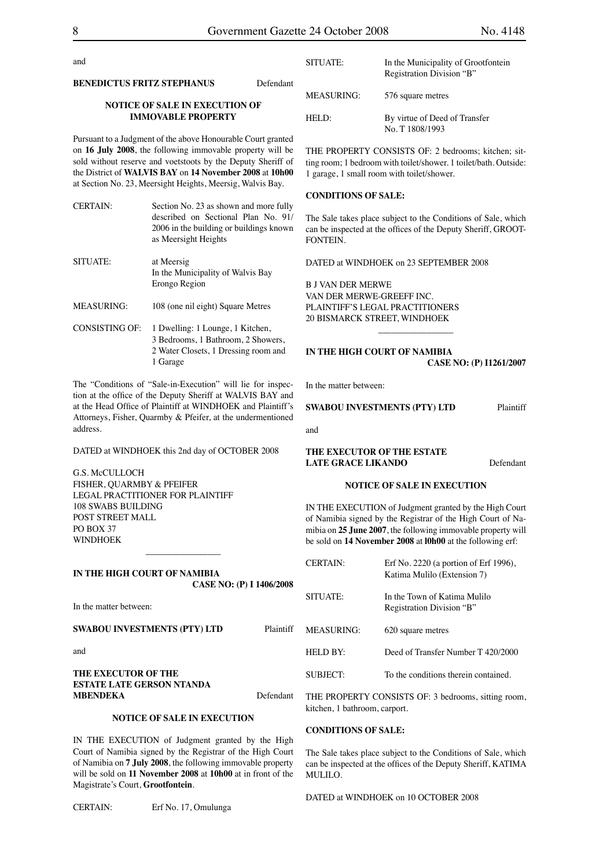| and                                                                        |           | SITUATE:   | In the Munici<br>Registration I    |
|----------------------------------------------------------------------------|-----------|------------|------------------------------------|
| <b>BENEDICTUS FRITZ STEPHANUS</b><br><b>NOTICE OF SALE IN EXECUTION OF</b> | Defendant | MEASURING: | 576 square m                       |
| <b>IMMOVABLE PROPERTY</b>                                                  |           | HELD:      | By virtue of I<br>-- - - - - - - - |

Pursuant to a Judgment of the above Honourable Court granted on **16 July 2008**, the following immovable property will be sold without reserve and voetstoots by the Deputy Sheriff of the District of **WALVIS BAY** on **14 November 2008** at **10h00**  at Section No. 23, Meersight Heights, Meersig, Walvis Bay.

| <b>CERTAIN:</b>   | Section No. 23 as shown and more fully<br>described on Sectional Plan No. 91/<br>2006 in the building or buildings known<br>as Meersight Heights |
|-------------------|--------------------------------------------------------------------------------------------------------------------------------------------------|
| SITUATE:          | at Meersig<br>In the Municipality of Walvis Bay<br>Erongo Region                                                                                 |
| <b>MEASURING:</b> | 108 (one nil eight) Square Metres                                                                                                                |
| CONSISTING OF:    | 1 Dwelling: 1 Lounge, 1 Kitchen,<br>3 Bedrooms, 1 Bathroom, 2 Showers,<br>2 Water Closets, 1 Dressing room and<br>1 Garage                       |

The "Conditions of "Sale-in-Execution" will lie for inspection at the office of the Deputy Sheriff at WALVIS BAY and at the Head Office of Plaintiff at WINDHOEK and Plaintiff's Attorneys, Fisher, Quarmby & Pfeifer, at the undermentioned address.

DATED at WINDHOEK this 2nd day of OCTOBER 2008

G.S. McCULLOCH FISHER, QUARMBY & PFEIFER LEGAL PRACTITIONER FOR PLAINTIFF 108 SWABS BUILDING POST STREET MALL PO BOX 37 WINDHOEK

**IN THE HIGH COURT OF NAMIBIA CASE NO: (P) I 1406/2008**

 $\overline{\phantom{a}}$  , which is a set of the set of the set of the set of the set of the set of the set of the set of the set of the set of the set of the set of the set of the set of the set of the set of the set of the set of th

In the matter between:

**SWABOU INVESTMENTS (PTY) LTD** Plaintiff

and

**THE EXECUTOR OF THE ESTATE LATE GERSON NTANDA MBENDEKA** Defendant

#### **NOTICE OF SALE IN EXECUTION**

IN THE EXECUTION of Judgment granted by the High Court of Namibia signed by the Registrar of the High Court of Namibia on **7 July 2008**, the following immovable property will be sold on **11 November 2008** at **10h00** at in front of the Magistrate's Court, **Grootfontein**.

CERTAIN: Erf No. 17, Omulunga

| SITUATE:   | In the Municipality of Grootfontein<br>Registration Division "B" |
|------------|------------------------------------------------------------------|
| MEASURING: | 576 square metres                                                |
| HELD:      | By virtue of Deed of Transfer<br>No. T 1808/1993                 |

THE PROPERTY CONSISTS OF: 2 bedrooms; kitchen; sitting room; 1 bedroom with toilet/shower. 1 toilet/bath. Outside: 1 garage, 1 small room with toilet/shower.

#### **CONDITIONS OF SALE:**

The Sale takes place subject to the Conditions of Sale, which can be inspected at the offices of the Deputy Sheriff, GROOT-FONTEIN.

DATED at WINDHOEK on 23 SEPTEMBER 2008

B J VAN DER MERWE VAN DER MERWE-GREEFF INC. PLAINTIFF'S LEGAL PRACTITIONERS 20 BISMARCK STREET, WINDHOEK

#### **IN THE HIGH COURT OF NAMIBIA CASE NO: (P) I1261/2007**

 $\overline{\phantom{a}}$  , which is a set of the set of the set of the set of the set of the set of the set of the set of the set of the set of the set of the set of the set of the set of the set of the set of the set of the set of th

In the matter between:

**SWABOU INVESTMENTS (PTY) LTD** Plaintiff

and

#### **THE EXECUTOR OF THE ESTATE LATE GRACE LIKANDO** Defendant

#### **NOTICE OF SALE IN EXECUTION**

IN THE EXECUTION of Judgment granted by the High Court of Namibia signed by the Registrar of the High Court of Namibia on **25 June 2007**, the following immovable property will be sold on **14 November 2008** at **l0h00** at the following erf:

| CERTAIN:   | Erf No. $2220$ (a portion of Erf 1996),<br>Katima Mulilo (Extension 7) |
|------------|------------------------------------------------------------------------|
| SITUATE:   | In the Town of Katima Mulilo<br>Registration Division "B"              |
| MEASURING: | 620 square metres                                                      |
| HEI D RY·  | Deed of Transfer Number T 420/2000                                     |
| SUBJECT:   | To the conditions therein contained                                    |

THE PROPERTY CONSISTS OF: 3 bedrooms, sitting room, kitchen, 1 bathroom, carport.

#### **CONDITIONS OF SALE:**

The Sale takes place subject to the Conditions of Sale, which can be inspected at the offices of the Deputy Sheriff, KATIMA MULILO.

DATED at WINDHOEK on 10 OCTOBER 2008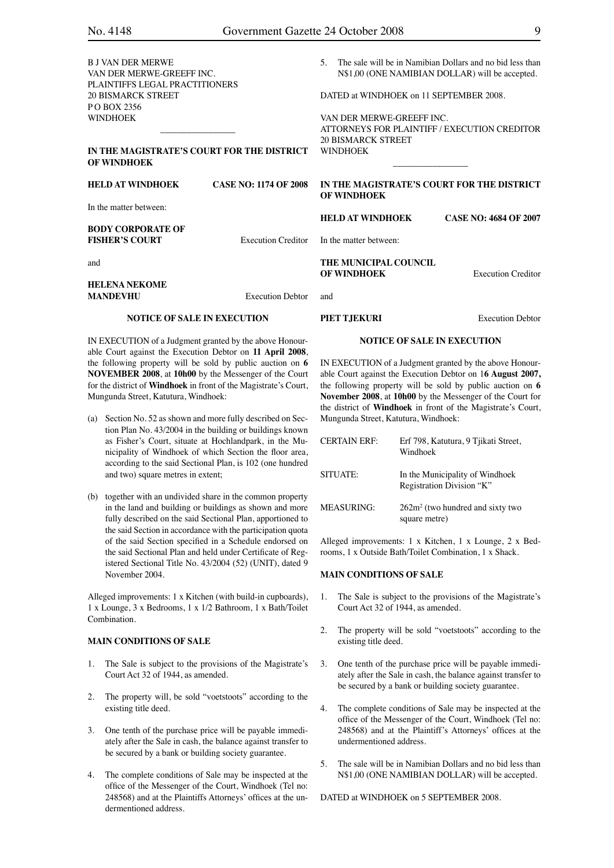| ×<br>v. | ٦            | I      |  |
|---------|--------------|--------|--|
|         | I<br>۰,<br>٠ | I<br>I |  |

| B J VAN DER MERWE<br>VAN DER MERWE-GREEFF INC.                                                                           |                                            | 5.  |                                                        | The sale will be in Namibian Dollars and no bid less than<br>N\$1,00 (ONE NAMIBIAN DOLLAR) will be accepted. |
|--------------------------------------------------------------------------------------------------------------------------|--------------------------------------------|-----|--------------------------------------------------------|--------------------------------------------------------------------------------------------------------------|
| PLAINTIFFS LEGAL PRACTITIONERS<br><b>20 BISMARCK STREET</b><br>POBOX 2356                                                |                                            |     | DATED at WINDHOEK on 11 SEPTEMBER 2008.                |                                                                                                              |
| WINDHOEK                                                                                                                 |                                            |     | VAN DER MERWE-GREEFF INC.<br><b>20 BISMARCK STREET</b> | ATTORNEYS FOR PLAINTIFF / EXECUTION CREDITOR                                                                 |
| <b>OF WINDHOEK</b>                                                                                                       | IN THE MAGISTRATE'S COURT FOR THE DISTRICT |     | <b>WINDHOEK</b>                                        |                                                                                                              |
| <b>HELD AT WINDHOEK</b>                                                                                                  | <b>CASE NO: 1174 OF 2008</b>               |     | <b>OF WINDHOEK</b>                                     | IN THE MAGISTRATE'S COURT FOR THE DISTRICT                                                                   |
| In the matter between:                                                                                                   |                                            |     | <b>HELD AT WINDHOEK</b>                                | <b>CASE NO: 4684 OF 2007</b>                                                                                 |
| <b>BODY CORPORATE OF</b><br><b>FISHER'S COURT</b>                                                                        | <b>Execution Creditor</b>                  |     | In the matter between:                                 |                                                                                                              |
| and                                                                                                                      |                                            |     | THE MUNICIPAL COUNCIL<br><b>OF WINDHOEK</b>            | <b>Execution Creditor</b>                                                                                    |
| <b>HELENA NEKOME</b><br><b>MANDEVHU</b>                                                                                  | <b>Execution Debtor</b>                    | and |                                                        |                                                                                                              |
| <b>NOTICE OF SALE IN EXECUTION</b>                                                                                       |                                            |     | PIET TJEKURI                                           | <b>Execution Debtor</b>                                                                                      |
| IN EXECUTION of a Judgment granted by the above Honour-<br>able Court against the Execution Debtor on 11 April 2008,     |                                            |     | <b>NOTICE OF SALE IN EXECUTION</b>                     |                                                                                                              |
| der Cellerature and antibilities and the antibiour control of the INITENTONIC Celleration of control header three Heaven |                                            |     |                                                        |                                                                                                              |

IN EXECUTION of a Judgment granted by the above Honourable Court against the Execution Debtor on 1**6 August 2007,**  the following property will be sold by public auction on **6 November 2008**, at **10h00** by the Messenger of the Court for the district of **Windhoek** in front of the Magistrate's Court, Mungunda Street, Katutura, Windhoek:

| <b>CERTAIN ERF:</b> | Erf 798, Katutura, 9 Tjikati Street,<br>Windhoek             |
|---------------------|--------------------------------------------------------------|
| SITUATE:            | In the Municipality of Windhoek<br>Registration Division "K" |
| <b>MEASURING:</b>   | $262m2$ (two hundred and sixty two<br>square metre)          |

Alleged improvements: 1 x Kitchen, 1 x Lounge, 2 x Bedrooms, 1 x Outside Bath/Toilet Combination, 1 x Shack.

#### **MAIN CONDITIONS OF SALE**

- 1. The Sale is subject to the provisions of the Magistrate's Court Act 32 of 1944, as amended.
- 2. The property will be sold "voetstoots" according to the existing title deed.
- 3. One tenth of the purchase price will be payable immediately after the Sale in cash, the balance against transfer to be secured by a bank or building society guarantee.
- 4. The complete conditions of Sale may be inspected at the office of the Messenger of the Court, Windhoek (Tel no: 248568) and at the Plaintiff's Attorneys' offices at the undermentioned address.
- 5. The sale will be in Namibian Dollars and no bid less than N\$1,00 (ONE NAMIBIAN DOLLAR) will be accepted.

DATED at WINDHOEK on 5 SEPTEMBER 2008.

the following property will be sold by public auction on **6 NOVEMBER 2008**, at **10h00** by the Messenger of the Court for the district of **Windhoek** in front of the Magistrate's Court, Mungunda Street, Katutura, Windhoek:

- (a) Section No. 52 as shown and more fully described on Section Plan No. 43/2004 in the building or buildings known as Fisher's Court, situate at Hochlandpark, in the Municipality of Windhoek of which Section the floor area, according to the said Sectional Plan, is 102 (one hundred and two) square metres in extent;
- (b) together with an undivided share in the common property in the land and building or buildings as shown and more fully described on the said Sectional Plan, apportioned to the said Section in accordance with the participation quota of the said Section specified in a Schedule endorsed on the said Sectional Plan and held under Certificate of Registered Sectional Title No. 43/2004 (52) (UNIT), dated 9 November 2004.

Alleged improvements: 1 x Kitchen (with build-in cupboards), 1 x Lounge, 3 x Bedrooms, 1 x 1/2 Bathroom, 1 x Bath/Toilet Combination.

#### **MAIN CONDITIONS OF SALE**

- 1. The Sale is subject to the provisions of the Magistrate's Court Act 32 of 1944, as amended.
- 2. The property will, be sold "voetstoots" according to the existing title deed.
- 3. One tenth of the purchase price will be payable immediately after the Sale in cash, the balance against transfer to be secured by a bank or building society guarantee.
- 4. The complete conditions of Sale may be inspected at the office of the Messenger of the Court, Windhoek (Tel no: 248568) and at the Plaintiffs Attorneys' offices at the undermentioned address.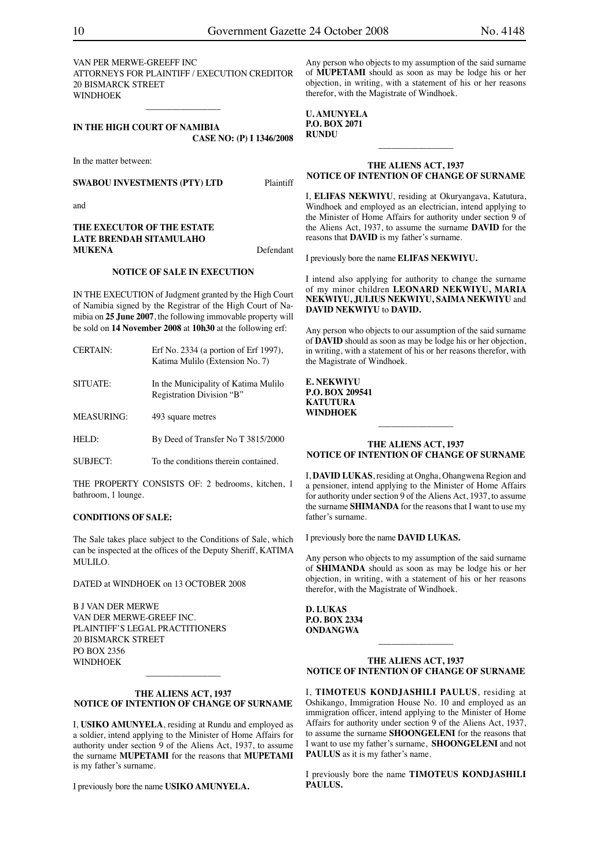VAN PER MERWE-GREEFF INC ATTORNEYS FOR PLAINTIFF / EXECUTION CREDITOR 20 BISMARCK STREET WINDHOEK

 $\overline{\phantom{a}}$  , where  $\overline{\phantom{a}}$ 

**IN THE HIGH COURT OF NAMIBIA CASE NO: (P) I 1346/2008**

In the matter between:

**SWABOU INVESTMENTS (PTY) LTD** Plaintiff

and

**THE EXECUTOR OF THE ESTATE LATE BRENDAH SITAMULAHO MUKENA** Defendant

#### **NOTICE OF SALE IN EXECUTION**

IN THE EXECUTION of Judgment granted by the High Court of Namibia signed by the Registrar of the High Court of Namibia on **25 June 2007**, the following immovable property will be sold on **14 November 2008** at **10h30** at the following erf:

CERTAIN: Erf No. 2334 (a portion of Erf 1997), Katima Mulilo (Extension No. 7) SITUATE: In the Municipality of Katima Mulilo Registration Division "B" MEASURING: 493 square metres HELD: By Deed of Transfer No T 3815/2000

SUBJECT: To the conditions therein contained.

THE PROPERTY CONSISTS OF: 2 bedrooms, kitchen, 1 bathroom, 1 lounge.

#### **CONDITIONS OF SALE:**

The Sale takes place subject to the Conditions of Sale, which can be inspected at the offices of the Deputy Sheriff, KATIMA MULILO.

DATED at WINDHOEK on 13 OCTOBER 2008

B J VAN DER MERWE VAN DER MERWE-GREEF INC. PLAINTIFF'S LEGAL PRACTITIONERS 20 BISMARCK STREET PO BOX 2356 WINDHOEK

#### **THE ALIENS ACT, 1937 NOTICE OF INTENTION OF CHANGE OF SURNAME**

 $\overline{\phantom{a}}$  , which is a set of the set of the set of the set of the set of the set of the set of the set of the set of the set of the set of the set of the set of the set of the set of the set of the set of the set of th

I, **USIKO AMUNYELA**, residing at Rundu and employed as a soldier, intend applying to the Minister of Home Affairs for authority under section 9 of the Aliens Act, 1937, to assume the surname **MUPETAMI** for the reasons that **MUPETAMI** is my father's surname.

I previously bore the name **USIKO AMUNYELA.**

Any person who objects to my assumption of the said surname of **MUPETAMI** should as soon as may be lodge his or her objection, in writing, with a statement of his or her reasons therefor, with the Magistrate of Windhoek.

**U. AMUNYELA P.O. BOX 2071 RUNDU**

#### **THE ALIENS ACT, 1937 NOTICE OF INTENTION OF CHANGE OF SURNAME**

 $\overline{\phantom{a}}$  , which is a set of the set of the set of the set of the set of the set of the set of the set of the set of the set of the set of the set of the set of the set of the set of the set of the set of the set of th

I, **ELIFAS NEKWIYU**, residing at Okuryangava, Katutura, Windhoek and employed as an electrician, intend applying to the Minister of Home Affairs for authority under section 9 of the Aliens Act, 1937, to assume the surname **DAVID** for the reasons that **DAVID** is my father's surname.

I previously bore the name **ELIFAS NEKWIYU.**

I intend also applying for authority to change the surname of my minor children **LEONARD NEKWIYU, MARIA NEKWIYU, JULIUS NEKWIYU, SAIMA NEKWIYU** and **DAVID NEKWIYU** to **DAVID.**

Any person who objects to our assumption of the said surname of **DAVID** should as soon as may be lodge his or her objection, in writing, with a statement of his or her reasons therefor, with the Magistrate of Windhoek.

#### **E. NEKWIYU P.O. BOX 209541 KATUTURA WINDHOEK**

#### **THE ALIENS ACT, 1937 NOTICE OF INTENTION OF CHANGE OF SURNAME**

 $\overline{\phantom{a}}$  , where the contract of the contract of the contract of the contract of the contract of the contract of the contract of the contract of the contract of the contract of the contract of the contract of the contr

I, **DAVID LUKAS**, residing at Ongha, Ohangwena Region and a pensioner, intend applying to the Minister of Home Affairs for authority under section 9 of the Aliens Act, 1937, to assume the surname **SHIMANDA** for the reasons that I want to use my father's surname.

I previously bore the name **DAVID LUKAS.**

Any person who objects to my assumption of the said surname of **SHIMANDA** should as soon as may be lodge his or her objection, in writing, with a statement of his or her reasons therefor, with the Magistrate of Windhoek.

**D. LUKAS P.O. BOX 2334 ONDANGWA**

#### **THE ALIENS ACT, 1937 NOTICE OF INTENTION OF CHANGE OF SURNAME**

 $\overline{\phantom{a}}$  , where  $\overline{\phantom{a}}$ 

I, **TIMOTEUS KONDJASHILI PAULUS**, residing at Oshikango, Immigration House No. 10 and employed as an immigration officer, intend applying to the Minister of Home Affairs for authority under section 9 of the Aliens Act, 1937, to assume the surname **SHOONGELENI** for the reasons that I want to use my father's surname, **SHOONGELENI** and not **PAULUS** as it is my father's name.

I previously bore the name **TIMOTEUS KONDJASHILI PAULUS.**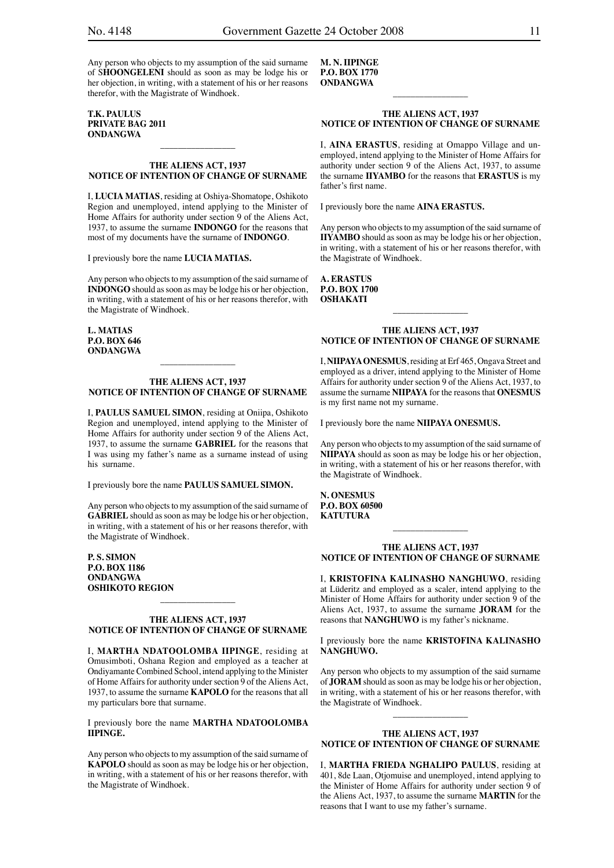#### **T.K. PAULUS PRIVATE BAG 2011 ONDANGWA**

#### **THE ALIENS ACT, 1937 NOTICE OF INTENTION OF CHANGE OF SURNAME**

\_\_\_\_\_\_\_\_\_\_\_\_\_\_\_\_\_

I, **LUCIA MATIAS**, residing at Oshiya-Shomatope, Oshikoto Region and unemployed, intend applying to the Minister of Home Affairs for authority under section 9 of the Aliens Act, 1937, to assume the surname **INDONGO** for the reasons that most of my documents have the surname of **INDONGO**.

I previously bore the name **LUCIA MATIAS.**

Any person who objects to my assumption of the said surname of **INDONGO** should as soon as may be lodge his or her objection, in writing, with a statement of his or her reasons therefor, with the Magistrate of Windhoek.

**L. MATIAS P.O. BOX 646 ONDANGWA**

#### **THE ALIENS ACT, 1937 NOTICE OF INTENTION OF CHANGE OF SURNAME**

\_\_\_\_\_\_\_\_\_\_\_\_\_\_\_\_\_

I, **PAULUS SAMUEL SIMON**, residing at Oniipa, Oshikoto Region and unemployed, intend applying to the Minister of Home Affairs for authority under section 9 of the Aliens Act, 1937, to assume the surname **GABRIEL** for the reasons that I was using my father's name as a surname instead of using his surname.

I previously bore the name **PAULUS SAMUEL SIMON.**

Any person who objects to my assumption of the said surname of **GABRIEL** should as soon as may be lodge his or her objection, in writing, with a statement of his or her reasons therefor, with the Magistrate of Windhoek.

**P. S. SIMON P.O. BOX 1186 ONDANGWA OSHIKOTO REGION**

#### **THE ALIENS ACT, 1937 NOTICE OF INTENTION OF CHANGE OF SURNAME**

\_\_\_\_\_\_\_\_\_\_\_\_\_\_\_\_\_

I, **MARTHA NDATOOLOMBA IIPINGE**, residing at Omusimboti, Oshana Region and employed as a teacher at Ondiyamante Combined School, intend applying to the Minister of Home Affairs for authority under section 9 of the Aliens Act, 1937, to assume the surname **KAPOLO** for the reasons that all my particulars bore that surname.

#### I previously bore the name **MARTHA NDATOOLOMBA IIPINGE.**

Any person who objects to my assumption of the said surname of **KAPOLO** should as soon as may be lodge his or her objection, in writing, with a statement of his or her reasons therefor, with the Magistrate of Windhoek.

**M. N. IIPINGE P.O. BOX 1770 ONDANGWA**

#### **THE ALIENS ACT, 1937 NOTICE OF INTENTION OF CHANGE OF SURNAME**

 $\overline{\phantom{a}}$  , where  $\overline{\phantom{a}}$ 

I, **AINA ERASTUS**, residing at Omappo Village and unemployed, intend applying to the Minister of Home Affairs for authority under section 9 of the Aliens Act, 1937, to assume the surname **IIYAMBO** for the reasons that **ERASTUS** is my father's first name.

I previously bore the name **AINA ERASTUS.**

Any person who objects to my assumption of the said surname of **IIYAMBO** should as soon as may be lodge his or her objection, in writing, with a statement of his or her reasons therefor, with the Magistrate of Windhoek.

**A. ERASTUS P.O. BOX 1700 OSHAKATI**

#### **THE ALIENS ACT, 1937 NOTICE OF INTENTION OF CHANGE OF SURNAME**

\_\_\_\_\_\_\_\_\_\_\_\_\_\_\_\_\_

I, **NIIPAYA ONESMUS**, residing at Erf 465, Ongava Street and employed as a driver, intend applying to the Minister of Home Affairs for authority under section 9 of the Aliens Act, 1937, to assume the surname **NIIPAYA** for the reasons that **ONESMUS** is my first name not my surname.

I previously bore the name **NIIPAYA ONESMUS.**

Any person who objects to my assumption of the said surname of **NIIPAYA** should as soon as may be lodge his or her objection, in writing, with a statement of his or her reasons therefor, with the Magistrate of Windhoek.

**N. ONESMUS P.O. BOX 60500 KATUTURA**

#### **THE ALIENS ACT, 1937 NOTICE OF INTENTION OF CHANGE OF SURNAME**

\_\_\_\_\_\_\_\_\_\_\_\_\_\_\_\_\_

I, **KRISTOFINA KALINASHO NANGHUWO**, residing at Lüderitz and employed as a scaler, intend applying to the Minister of Home Affairs for authority under section 9 of the Aliens Act, 1937, to assume the surname **JORAM** for the reasons that **NANGHUWO** is my father's nickname.

I previously bore the name **KRISTOFINA KALINASHO NANGHUWO.**

Any person who objects to my assumption of the said surname of **JORAM** should as soon as may be lodge his or her objection, in writing, with a statement of his or her reasons therefor, with the Magistrate of Windhoek.

#### **THE ALIENS ACT, 1937 NOTICE OF INTENTION OF CHANGE OF SURNAME**

 $\overline{\phantom{a}}$  , where  $\overline{\phantom{a}}$ 

I, **MARTHA FRIEDA NGHALIPO PAULUS**, residing at 401, 8de Laan, Otjomuise and unemployed, intend applying to the Minister of Home Affairs for authority under section 9 of the Aliens Act, 1937, to assume the surname **MARTIN** for the reasons that I want to use my father's surname.